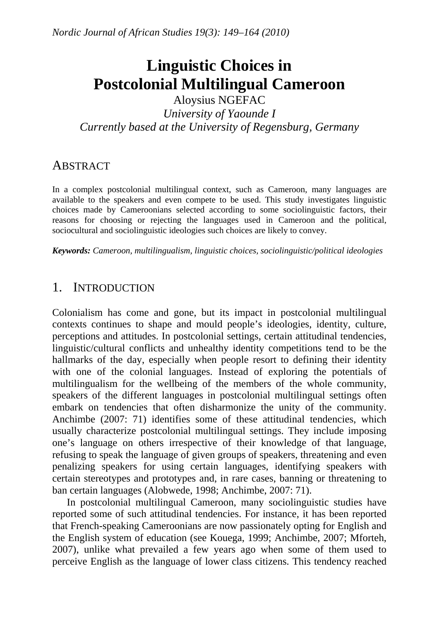# **Linguistic Choices in Postcolonial Multilingual Cameroon**

Aloysius NGEFAC *University of Yaounde I Currently based at the University of Regensburg, Germany* 

### **ABSTRACT**

In a complex postcolonial multilingual context, such as Cameroon, many languages are available to the speakers and even compete to be used. This study investigates linguistic choices made by Cameroonians selected according to some sociolinguistic factors, their reasons for choosing or rejecting the languages used in Cameroon and the political, sociocultural and sociolinguistic ideologies such choices are likely to convey.

*Keywords: Cameroon, multilingualism, linguistic choices, sociolinguistic/political ideologies* 

### 1. INTRODUCTION

Colonialism has come and gone, but its impact in postcolonial multilingual contexts continues to shape and mould people's ideologies, identity, culture, perceptions and attitudes. In postcolonial settings, certain attitudinal tendencies, linguistic/cultural conflicts and unhealthy identity competitions tend to be the hallmarks of the day, especially when people resort to defining their identity with one of the colonial languages. Instead of exploring the potentials of multilingualism for the wellbeing of the members of the whole community, speakers of the different languages in postcolonial multilingual settings often embark on tendencies that often disharmonize the unity of the community. Anchimbe (2007: 71) identifies some of these attitudinal tendencies, which usually characterize postcolonial multilingual settings. They include imposing one's language on others irrespective of their knowledge of that language, refusing to speak the language of given groups of speakers, threatening and even penalizing speakers for using certain languages, identifying speakers with certain stereotypes and prototypes and, in rare cases, banning or threatening to ban certain languages (Alobwede, 1998; Anchimbe, 2007: 71).

In postcolonial multilingual Cameroon, many sociolinguistic studies have reported some of such attitudinal tendencies. For instance, it has been reported that French-speaking Cameroonians are now passionately opting for English and the English system of education (see Kouega, 1999; Anchimbe, 2007; Mforteh, 2007), unlike what prevailed a few years ago when some of them used to perceive English as the language of lower class citizens. This tendency reached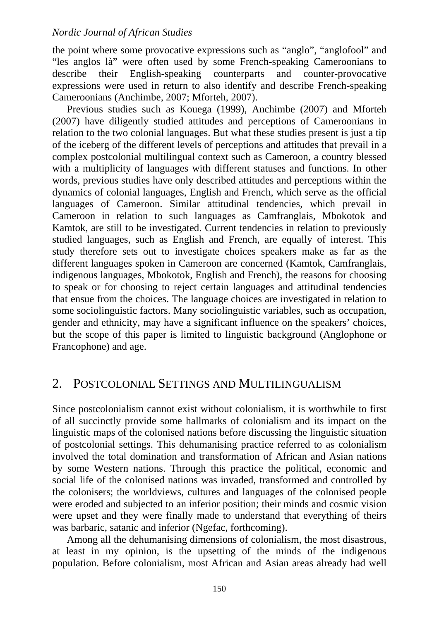the point where some provocative expressions such as "anglo", "anglofool" and "les anglos là" were often used by some French-speaking Cameroonians to describe their English-speaking counterparts and counter-provocative expressions were used in return to also identify and describe French-speaking Cameroonians (Anchimbe, 2007; Mforteh, 2007).

Previous studies such as Kouega (1999), Anchimbe (2007) and Mforteh (2007) have diligently studied attitudes and perceptions of Cameroonians in relation to the two colonial languages. But what these studies present is just a tip of the iceberg of the different levels of perceptions and attitudes that prevail in a complex postcolonial multilingual context such as Cameroon, a country blessed with a multiplicity of languages with different statuses and functions. In other words, previous studies have only described attitudes and perceptions within the dynamics of colonial languages, English and French, which serve as the official languages of Cameroon. Similar attitudinal tendencies, which prevail in Cameroon in relation to such languages as Camfranglais, Mbokotok and Kamtok, are still to be investigated. Current tendencies in relation to previously studied languages, such as English and French, are equally of interest. This study therefore sets out to investigate choices speakers make as far as the different languages spoken in Cameroon are concerned (Kamtok, Camfranglais, indigenous languages, Mbokotok, English and French), the reasons for choosing to speak or for choosing to reject certain languages and attitudinal tendencies that ensue from the choices. The language choices are investigated in relation to some sociolinguistic factors. Many sociolinguistic variables, such as occupation, gender and ethnicity, may have a significant influence on the speakers' choices, but the scope of this paper is limited to linguistic background (Anglophone or Francophone) and age.

### 2. POSTCOLONIAL SETTINGS AND MULTILINGUALISM

Since postcolonialism cannot exist without colonialism, it is worthwhile to first of all succinctly provide some hallmarks of colonialism and its impact on the linguistic maps of the colonised nations before discussing the linguistic situation of postcolonial settings. This dehumanising practice referred to as colonialism involved the total domination and transformation of African and Asian nations by some Western nations. Through this practice the political, economic and social life of the colonised nations was invaded, transformed and controlled by the colonisers; the worldviews, cultures and languages of the colonised people were eroded and subjected to an inferior position; their minds and cosmic vision were upset and they were finally made to understand that everything of theirs was barbaric, satanic and inferior (Ngefac, forthcoming).

Among all the dehumanising dimensions of colonialism, the most disastrous, at least in my opinion, is the upsetting of the minds of the indigenous population. Before colonialism, most African and Asian areas already had well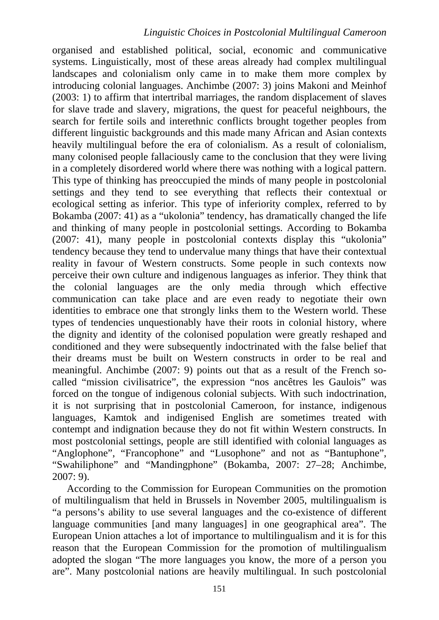organised and established political, social, economic and communicative systems. Linguistically, most of these areas already had complex multilingual landscapes and colonialism only came in to make them more complex by introducing colonial languages. Anchimbe (2007: 3) joins Makoni and Meinhof (2003: 1) to affirm that intertribal marriages, the random displacement of slaves for slave trade and slavery, migrations, the quest for peaceful neighbours, the search for fertile soils and interethnic conflicts brought together peoples from different linguistic backgrounds and this made many African and Asian contexts heavily multilingual before the era of colonialism. As a result of colonialism, many colonised people fallaciously came to the conclusion that they were living in a completely disordered world where there was nothing with a logical pattern. This type of thinking has preoccupied the minds of many people in postcolonial settings and they tend to see everything that reflects their contextual or ecological setting as inferior. This type of inferiority complex, referred to by Bokamba (2007: 41) as a "ukolonia" tendency, has dramatically changed the life and thinking of many people in postcolonial settings. According to Bokamba (2007: 41), many people in postcolonial contexts display this "ukolonia" tendency because they tend to undervalue many things that have their contextual reality in favour of Western constructs. Some people in such contexts now perceive their own culture and indigenous languages as inferior. They think that the colonial languages are the only media through which effective communication can take place and are even ready to negotiate their own identities to embrace one that strongly links them to the Western world. These types of tendencies unquestionably have their roots in colonial history, where the dignity and identity of the colonised population were greatly reshaped and conditioned and they were subsequently indoctrinated with the false belief that their dreams must be built on Western constructs in order to be real and meaningful. Anchimbe (2007: 9) points out that as a result of the French socalled "mission civilisatrice", the expression "nos ancêtres les Gaulois" was forced on the tongue of indigenous colonial subjects. With such indoctrination, it is not surprising that in postcolonial Cameroon, for instance, indigenous languages, Kamtok and indigenised English are sometimes treated with contempt and indignation because they do not fit within Western constructs. In most postcolonial settings, people are still identified with colonial languages as "Anglophone", "Francophone" and "Lusophone" and not as "Bantuphone", "Swahiliphone" and "Mandingphone" (Bokamba, 2007: 27–28; Anchimbe, 2007: 9).

According to the Commission for European Communities on the promotion of multilingualism that held in Brussels in November 2005, multilingualism is "a persons's ability to use several languages and the co-existence of different language communities [and many languages] in one geographical area". The European Union attaches a lot of importance to multilingualism and it is for this reason that the European Commission for the promotion of multilingualism adopted the slogan "The more languages you know, the more of a person you are". Many postcolonial nations are heavily multilingual. In such postcolonial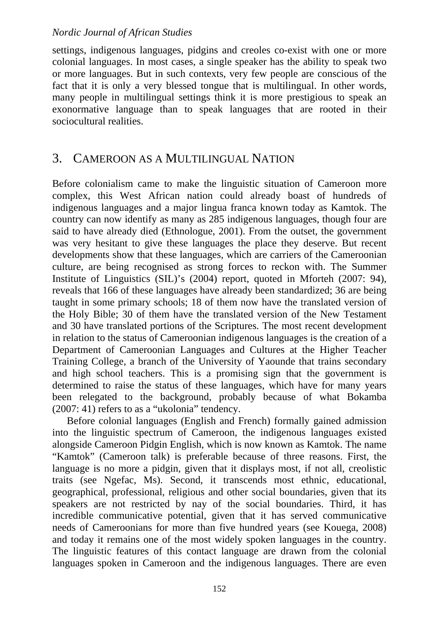settings, indigenous languages, pidgins and creoles co-exist with one or more colonial languages. In most cases, a single speaker has the ability to speak two or more languages. But in such contexts, very few people are conscious of the fact that it is only a very blessed tongue that is multilingual. In other words, many people in multilingual settings think it is more prestigious to speak an exonormative language than to speak languages that are rooted in their sociocultural realities.

### 3. CAMEROON AS A MULTILINGUAL NATION

Before colonialism came to make the linguistic situation of Cameroon more complex, this West African nation could already boast of hundreds of indigenous languages and a major lingua franca known today as Kamtok. The country can now identify as many as 285 indigenous languages, though four are said to have already died (Ethnologue, 2001). From the outset, the government was very hesitant to give these languages the place they deserve. But recent developments show that these languages, which are carriers of the Cameroonian culture, are being recognised as strong forces to reckon with. The Summer Institute of Linguistics (SIL)'s (2004) report, quoted in Mforteh (2007: 94), reveals that 166 of these languages have already been standardized; 36 are being taught in some primary schools; 18 of them now have the translated version of the Holy Bible; 30 of them have the translated version of the New Testament and 30 have translated portions of the Scriptures. The most recent development in relation to the status of Cameroonian indigenous languages is the creation of a Department of Cameroonian Languages and Cultures at the Higher Teacher Training College, a branch of the University of Yaounde that trains secondary and high school teachers. This is a promising sign that the government is determined to raise the status of these languages, which have for many years been relegated to the background, probably because of what Bokamba (2007: 41) refers to as a "ukolonia" tendency.

Before colonial languages (English and French) formally gained admission into the linguistic spectrum of Cameroon, the indigenous languages existed alongside Cameroon Pidgin English, which is now known as Kamtok. The name "Kamtok" (Cameroon talk) is preferable because of three reasons. First, the language is no more a pidgin, given that it displays most, if not all, creolistic traits (see Ngefac, Ms). Second, it transcends most ethnic, educational, geographical, professional, religious and other social boundaries, given that its speakers are not restricted by nay of the social boundaries. Third, it has incredible communicative potential, given that it has served communicative needs of Cameroonians for more than five hundred years (see Kouega, 2008) and today it remains one of the most widely spoken languages in the country. The linguistic features of this contact language are drawn from the colonial languages spoken in Cameroon and the indigenous languages. There are even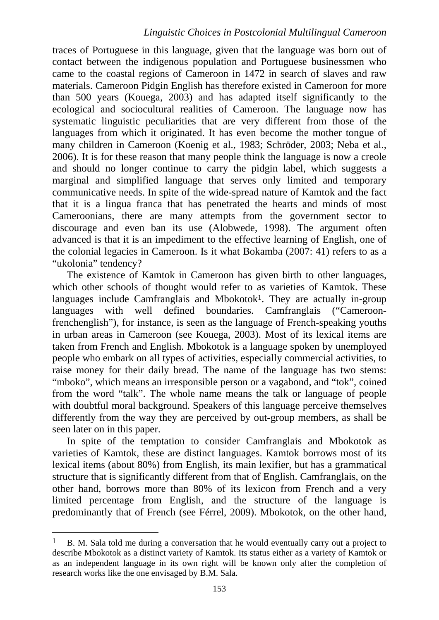traces of Portuguese in this language, given that the language was born out of contact between the indigenous population and Portuguese businessmen who came to the coastal regions of Cameroon in 1472 in search of slaves and raw materials. Cameroon Pidgin English has therefore existed in Cameroon for more than 500 years (Kouega, 2003) and has adapted itself significantly to the ecological and sociocultural realities of Cameroon. The language now has systematic linguistic peculiarities that are very different from those of the languages from which it originated. It has even become the mother tongue of many children in Cameroon (Koenig et al., 1983; Schröder, 2003; Neba et al., 2006). It is for these reason that many people think the language is now a creole and should no longer continue to carry the pidgin label, which suggests a marginal and simplified language that serves only limited and temporary communicative needs. In spite of the wide-spread nature of Kamtok and the fact that it is a lingua franca that has penetrated the hearts and minds of most Cameroonians, there are many attempts from the government sector to discourage and even ban its use (Alobwede, 1998). The argument often advanced is that it is an impediment to the effective learning of English, one of the colonial legacies in Cameroon. Is it what Bokamba (2007: 41) refers to as a "ukolonia" tendency?

The existence of Kamtok in Cameroon has given birth to other languages, which other schools of thought would refer to as varieties of Kamtok. These languages include Camfranglais and Mbokotok<sup>1</sup>. They are actually in-group languages with well defined boundaries. Camfranglais ("Cameroonfrenchenglish"), for instance, is seen as the language of French-speaking youths in urban areas in Cameroon (see Kouega, 2003). Most of its lexical items are taken from French and English. Mbokotok is a language spoken by unemployed people who embark on all types of activities, especially commercial activities, to raise money for their daily bread. The name of the language has two stems: "mboko", which means an irresponsible person or a vagabond, and "tok", coined from the word "talk". The whole name means the talk or language of people with doubtful moral background. Speakers of this language perceive themselves differently from the way they are perceived by out-group members, as shall be seen later on in this paper.

In spite of the temptation to consider Camfranglais and Mbokotok as varieties of Kamtok, these are distinct languages. Kamtok borrows most of its lexical items (about 80%) from English, its main lexifier, but has a grammatical structure that is significantly different from that of English. Camfranglais, on the other hand, borrows more than 80% of its lexicon from French and a very limited percentage from English, and the structure of the language is predominantly that of French (see Férrel, 2009). Mbokotok, on the other hand,

<u>.</u>

<sup>1</sup> B. M. Sala told me during a conversation that he would eventually carry out a project to describe Mbokotok as a distinct variety of Kamtok. Its status either as a variety of Kamtok or as an independent language in its own right will be known only after the completion of research works like the one envisaged by B.M. Sala.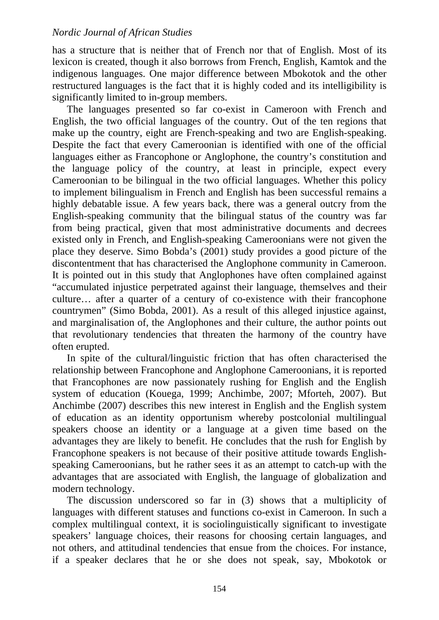has a structure that is neither that of French nor that of English. Most of its lexicon is created, though it also borrows from French, English, Kamtok and the indigenous languages. One major difference between Mbokotok and the other restructured languages is the fact that it is highly coded and its intelligibility is significantly limited to in-group members.

The languages presented so far co-exist in Cameroon with French and English, the two official languages of the country. Out of the ten regions that make up the country, eight are French-speaking and two are English-speaking. Despite the fact that every Cameroonian is identified with one of the official languages either as Francophone or Anglophone, the country's constitution and the language policy of the country, at least in principle, expect every Cameroonian to be bilingual in the two official languages. Whether this policy to implement bilingualism in French and English has been successful remains a highly debatable issue. A few years back, there was a general outcry from the English-speaking community that the bilingual status of the country was far from being practical, given that most administrative documents and decrees existed only in French, and English-speaking Cameroonians were not given the place they deserve. Simo Bobda's (2001) study provides a good picture of the discontentment that has characterised the Anglophone community in Cameroon. It is pointed out in this study that Anglophones have often complained against "accumulated injustice perpetrated against their language, themselves and their culture… after a quarter of a century of co-existence with their francophone countrymen" (Simo Bobda, 2001). As a result of this alleged injustice against, and marginalisation of, the Anglophones and their culture, the author points out that revolutionary tendencies that threaten the harmony of the country have often erupted.

In spite of the cultural/linguistic friction that has often characterised the relationship between Francophone and Anglophone Cameroonians, it is reported that Francophones are now passionately rushing for English and the English system of education (Kouega, 1999; Anchimbe, 2007; Mforteh, 2007). But Anchimbe (2007) describes this new interest in English and the English system of education as an identity opportunism whereby postcolonial multilingual speakers choose an identity or a language at a given time based on the advantages they are likely to benefit. He concludes that the rush for English by Francophone speakers is not because of their positive attitude towards Englishspeaking Cameroonians, but he rather sees it as an attempt to catch-up with the advantages that are associated with English, the language of globalization and modern technology.

The discussion underscored so far in (3) shows that a multiplicity of languages with different statuses and functions co-exist in Cameroon. In such a complex multilingual context, it is sociolinguistically significant to investigate speakers' language choices, their reasons for choosing certain languages, and not others, and attitudinal tendencies that ensue from the choices. For instance, if a speaker declares that he or she does not speak, say, Mbokotok or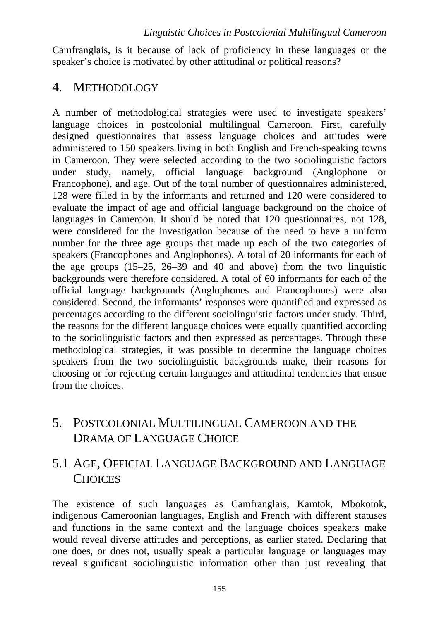Camfranglais, is it because of lack of proficiency in these languages or the speaker's choice is motivated by other attitudinal or political reasons?

### 4. METHODOLOGY

A number of methodological strategies were used to investigate speakers' language choices in postcolonial multilingual Cameroon. First, carefully designed questionnaires that assess language choices and attitudes were administered to 150 speakers living in both English and French-speaking towns in Cameroon. They were selected according to the two sociolinguistic factors under study, namely, official language background (Anglophone or Francophone), and age. Out of the total number of questionnaires administered, 128 were filled in by the informants and returned and 120 were considered to evaluate the impact of age and official language background on the choice of languages in Cameroon. It should be noted that 120 questionnaires, not 128, were considered for the investigation because of the need to have a uniform number for the three age groups that made up each of the two categories of speakers (Francophones and Anglophones). A total of 20 informants for each of the age groups (15–25, 26–39 and 40 and above) from the two linguistic backgrounds were therefore considered. A total of 60 informants for each of the official language backgrounds (Anglophones and Francophones) were also considered. Second, the informants' responses were quantified and expressed as percentages according to the different sociolinguistic factors under study. Third, the reasons for the different language choices were equally quantified according to the sociolinguistic factors and then expressed as percentages. Through these methodological strategies, it was possible to determine the language choices speakers from the two sociolinguistic backgrounds make, their reasons for choosing or for rejecting certain languages and attitudinal tendencies that ensue from the choices.

# 5. POSTCOLONIAL MULTILINGUAL CAMEROON AND THE DRAMA OF LANGUAGE CHOICE

# 5.1 AGE, OFFICIAL LANGUAGE BACKGROUND AND LANGUAGE CHOICES

The existence of such languages as Camfranglais, Kamtok, Mbokotok, indigenous Cameroonian languages, English and French with different statuses and functions in the same context and the language choices speakers make would reveal diverse attitudes and perceptions, as earlier stated. Declaring that one does, or does not, usually speak a particular language or languages may reveal significant sociolinguistic information other than just revealing that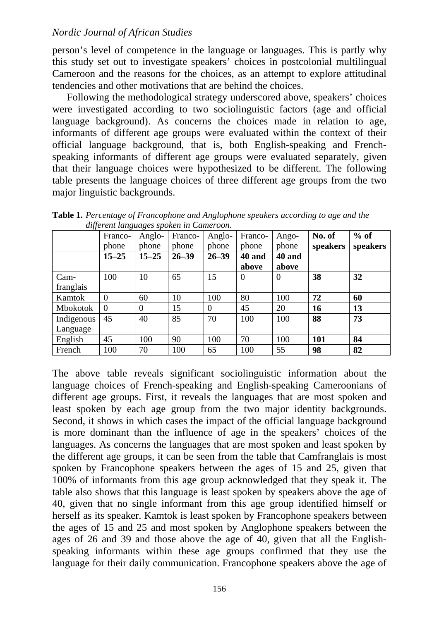person's level of competence in the language or languages. This is partly why this study set out to investigate speakers' choices in postcolonial multilingual Cameroon and the reasons for the choices, as an attempt to explore attitudinal tendencies and other motivations that are behind the choices.

Following the methodological strategy underscored above, speakers' choices were investigated according to two sociolinguistic factors (age and official language background). As concerns the choices made in relation to age, informants of different age groups were evaluated within the context of their official language background, that is, both English-speaking and Frenchspeaking informants of different age groups were evaluated separately, given that their language choices were hypothesized to be different. The following table presents the language choices of three different age groups from the two major linguistic backgrounds.

| -- 1.J          | Franco-        | Anglo-         | Franco-   | Anglo-    | Franco-        | Ango-    | No. of     | $%$ of   |
|-----------------|----------------|----------------|-----------|-----------|----------------|----------|------------|----------|
|                 | phone          | phone          | phone     | phone     | phone          | phone    | speakers   | speakers |
|                 | $15 - 25$      | $15 - 25$      | $26 - 39$ | $26 - 39$ | 40 and         | 40 and   |            |          |
|                 |                |                |           |           | above          | above    |            |          |
| Cam-            | 100            | 10             | 65        | 15        | $\overline{0}$ | $\theta$ | 38         | 32       |
| franglais       |                |                |           |           |                |          |            |          |
| Kamtok          | $\overline{0}$ | 60             | 10        | 100       | 80             | 100      | 72         | 60       |
| <b>Mbokotok</b> | $\Omega$       | $\overline{0}$ | 15        | $\Omega$  | 45             | 20       | 16         | 13       |
| Indigenous      | 45             | 40             | 85        | 70        | 100            | 100      | 88         | 73       |
| Language        |                |                |           |           |                |          |            |          |
| English         | 45             | 100            | 90        | 100       | 70             | 100      | <b>101</b> | 84       |
| French          | 100            | 70             | 100       | 65        | 100            | 55       | 98         | 82       |

**Table 1.** *Percentage of Francophone and Anglophone speakers according to age and the*  *different languages spoken in Cameroon*.

The above table reveals significant sociolinguistic information about the language choices of French-speaking and English-speaking Cameroonians of different age groups. First, it reveals the languages that are most spoken and least spoken by each age group from the two major identity backgrounds. Second, it shows in which cases the impact of the official language background is more dominant than the influence of age in the speakers' choices of the languages. As concerns the languages that are most spoken and least spoken by the different age groups, it can be seen from the table that Camfranglais is most spoken by Francophone speakers between the ages of 15 and 25, given that 100% of informants from this age group acknowledged that they speak it. The table also shows that this language is least spoken by speakers above the age of 40, given that no single informant from this age group identified himself or herself as its speaker. Kamtok is least spoken by Francophone speakers between the ages of 15 and 25 and most spoken by Anglophone speakers between the ages of 26 and 39 and those above the age of 40, given that all the Englishspeaking informants within these age groups confirmed that they use the language for their daily communication. Francophone speakers above the age of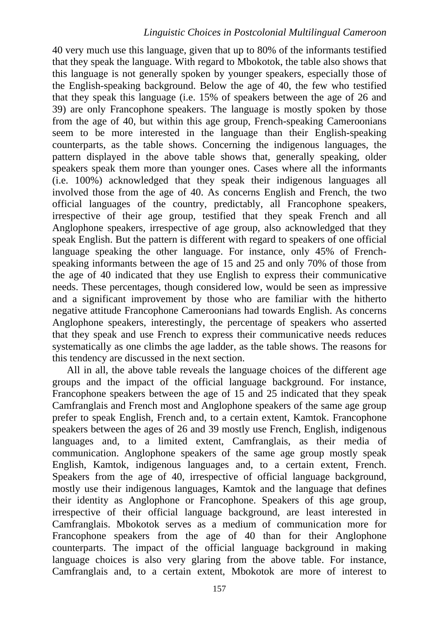40 very much use this language, given that up to 80% of the informants testified that they speak the language. With regard to Mbokotok, the table also shows that this language is not generally spoken by younger speakers, especially those of the English-speaking background. Below the age of 40, the few who testified that they speak this language (i.e. 15% of speakers between the age of 26 and 39) are only Francophone speakers. The language is mostly spoken by those from the age of 40, but within this age group, French-speaking Cameroonians seem to be more interested in the language than their English-speaking counterparts, as the table shows. Concerning the indigenous languages, the pattern displayed in the above table shows that, generally speaking, older speakers speak them more than younger ones. Cases where all the informants (i.e. 100%) acknowledged that they speak their indigenous languages all involved those from the age of 40. As concerns English and French, the two official languages of the country, predictably, all Francophone speakers, irrespective of their age group, testified that they speak French and all Anglophone speakers, irrespective of age group, also acknowledged that they speak English. But the pattern is different with regard to speakers of one official language speaking the other language. For instance, only 45% of Frenchspeaking informants between the age of 15 and 25 and only 70% of those from the age of 40 indicated that they use English to express their communicative needs. These percentages, though considered low, would be seen as impressive and a significant improvement by those who are familiar with the hitherto negative attitude Francophone Cameroonians had towards English. As concerns Anglophone speakers, interestingly, the percentage of speakers who asserted that they speak and use French to express their communicative needs reduces systematically as one climbs the age ladder, as the table shows. The reasons for this tendency are discussed in the next section.

All in all, the above table reveals the language choices of the different age groups and the impact of the official language background. For instance, Francophone speakers between the age of 15 and 25 indicated that they speak Camfranglais and French most and Anglophone speakers of the same age group prefer to speak English, French and, to a certain extent, Kamtok. Francophone speakers between the ages of 26 and 39 mostly use French, English, indigenous languages and, to a limited extent, Camfranglais, as their media of communication. Anglophone speakers of the same age group mostly speak English, Kamtok, indigenous languages and, to a certain extent, French. Speakers from the age of 40, irrespective of official language background, mostly use their indigenous languages, Kamtok and the language that defines their identity as Anglophone or Francophone. Speakers of this age group, irrespective of their official language background, are least interested in Camfranglais. Mbokotok serves as a medium of communication more for Francophone speakers from the age of 40 than for their Anglophone counterparts. The impact of the official language background in making language choices is also very glaring from the above table. For instance, Camfranglais and, to a certain extent, Mbokotok are more of interest to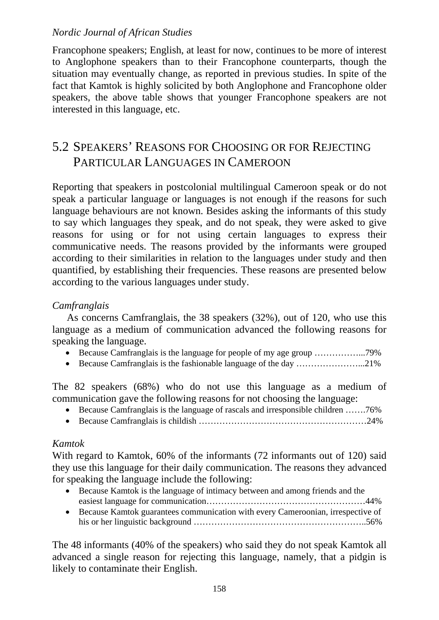Francophone speakers; English, at least for now, continues to be more of interest to Anglophone speakers than to their Francophone counterparts, though the situation may eventually change, as reported in previous studies. In spite of the fact that Kamtok is highly solicited by both Anglophone and Francophone older speakers, the above table shows that younger Francophone speakers are not interested in this language, etc.

# 5.2 SPEAKERS' REASONS FOR CHOOSING OR FOR REJECTING PARTICULAR LANGUAGES IN CAMEROON

Reporting that speakers in postcolonial multilingual Cameroon speak or do not speak a particular language or languages is not enough if the reasons for such language behaviours are not known. Besides asking the informants of this study to say which languages they speak, and do not speak, they were asked to give reasons for using or for not using certain languages to express their communicative needs. The reasons provided by the informants were grouped according to their similarities in relation to the languages under study and then quantified, by establishing their frequencies. These reasons are presented below according to the various languages under study.

### *Camfranglais*

As concerns Camfranglais, the 38 speakers (32%), out of 120, who use this language as a medium of communication advanced the following reasons for speaking the language.

- Because Camfranglais is the language for people of my age group ……………...79%
- Because Camfranglais is the fashionable language of the day …………………...21%

The 82 speakers (68%) who do not use this language as a medium of communication gave the following reasons for not choosing the language:

- Because Camfranglais is the language of rascals and irresponsible children …….76%
- Because Camfranglais is childish …………………………………………………24%

### *Kamtok*

With regard to Kamtok, 60% of the informants (72 informants out of 120) said they use this language for their daily communication. The reasons they advanced for speaking the language include the following:

- Because Kamtok is the language of intimacy between and among friends and the easiest language for communication………………………………………………44%
- Because Kamtok guarantees communication with every Cameroonian, irrespective of his or her linguistic background …………………………………………………..56%

The 48 informants (40% of the speakers) who said they do not speak Kamtok all advanced a single reason for rejecting this language, namely, that a pidgin is likely to contaminate their English.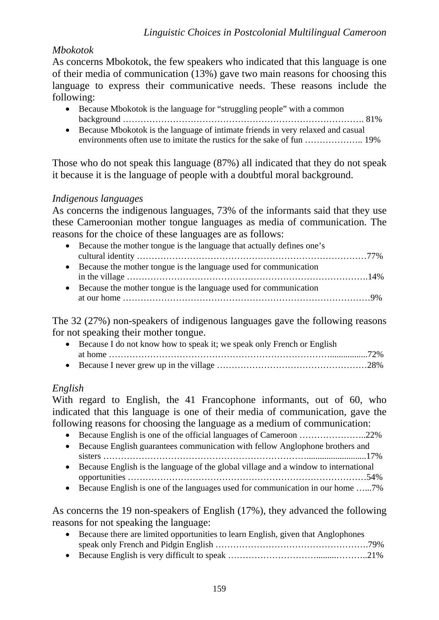### *Mbokotok*

As concerns Mbokotok, the few speakers who indicated that this language is one of their media of communication (13%) gave two main reasons for choosing this language to express their communicative needs. These reasons include the following:

- Because Mbokotok is the language for "struggling people" with a common background ………………………………………………………………………. 81%
- Because Mbokotok is the language of intimate friends in very relaxed and casual environments often use to imitate the rustics for the sake of fun ……………….. 19%

Those who do not speak this language (87%) all indicated that they do not speak it because it is the language of people with a doubtful moral background.

#### *Indigenous languages*

As concerns the indigenous languages, 73% of the informants said that they use these Cameroonian mother tongue languages as media of communication. The reasons for the choice of these languages are as follows:

- Because the mother tongue is the language that actually defines one's cultural identity ……………………………………………………………………77% • Because the mother tongue is the language used for communication
- in the village ……………………………………………………………………….14%
- Because the mother tongue is the language used for communication at our home …………………………………………………………………………9%

The 32 (27%) non-speakers of indigenous languages gave the following reasons for not speaking their mother tongue.

• Because I do not know how to speak it; we speak only French or English at home ………………………………………………………………….................72% • Because I never grew up in the village ……………………………………………28%

### *English*

With regard to English, the 41 Francophone informants, out of 60, who indicated that this language is one of their media of communication, gave the following reasons for choosing the language as a medium of communication:

- Because English is one of the official languages of Cameroon …………………..22%
- Because English guarantees communication with fellow Anglophone brothers and sisters ……………………………………………………………...........................17%
- Because English is the language of the global village and a window to international opportunities ………………………………………………………………………54%
- Because English is one of the languages used for communication in our home .......7%

As concerns the 19 non-speakers of English (17%), they advanced the following reasons for not speaking the language:

- Because there are limited opportunities to learn English, given that Anglophones speak only French and Pidgin English …………………………………………….79%
- Because English is very difficult to speak …………………………………………………………21%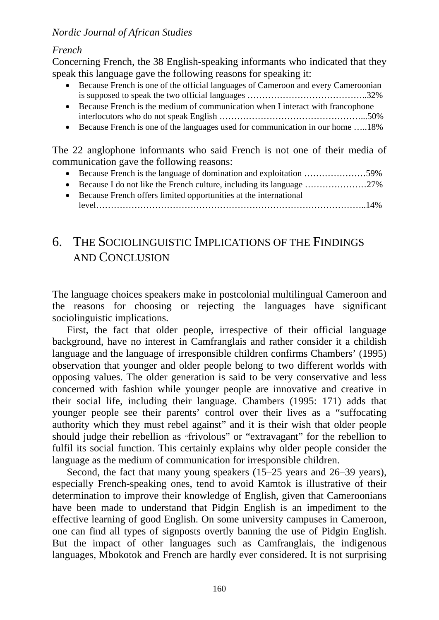### *French*

Concerning French, the 38 English-speaking informants who indicated that they speak this language gave the following reasons for speaking it:

- Because French is one of the official languages of Cameroon and every Cameroonian is supposed to speak the two official languages …………………………………..32%
- Because French is the medium of communication when I interact with francophone interlocutors who do not speak English …………………………………………...50%
- Because French is one of the languages used for communication in our home .....18%

The 22 anglophone informants who said French is not one of their media of communication gave the following reasons:

- Because French is the language of domination and exploitation ...........................59%
- Because I do not like the French culture, including its language …………………27%
- Because French offers limited opportunities at the international level………………………………………………………………………………..14%

# 6. THE SOCIOLINGUISTIC IMPLICATIONS OF THE FINDINGS AND CONCLUSION

The language choices speakers make in postcolonial multilingual Cameroon and the reasons for choosing or rejecting the languages have significant sociolinguistic implications.

First, the fact that older people, irrespective of their official language background, have no interest in Camfranglais and rather consider it a childish language and the language of irresponsible children confirms Chambers' (1995) observation that younger and older people belong to two different worlds with opposing values. The older generation is said to be very conservative and less concerned with fashion while younger people are innovative and creative in their social life, including their language. Chambers (1995: 171) adds that younger people see their parents' control over their lives as a "suffocating authority which they must rebel against" and it is their wish that older people should judge their rebellion as "frivolous" or "extravagant" for the rebellion to fulfil its social function. This certainly explains why older people consider the language as the medium of communication for irresponsible children.

Second, the fact that many young speakers (15–25 years and 26–39 years), especially French-speaking ones, tend to avoid Kamtok is illustrative of their determination to improve their knowledge of English, given that Cameroonians have been made to understand that Pidgin English is an impediment to the effective learning of good English. On some university campuses in Cameroon, one can find all types of signposts overtly banning the use of Pidgin English. But the impact of other languages such as Camfranglais, the indigenous languages, Mbokotok and French are hardly ever considered. It is not surprising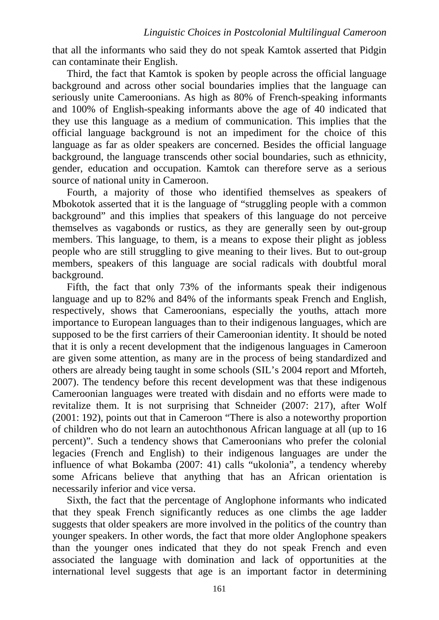that all the informants who said they do not speak Kamtok asserted that Pidgin can contaminate their English.

Third, the fact that Kamtok is spoken by people across the official language background and across other social boundaries implies that the language can seriously unite Cameroonians. As high as 80% of French-speaking informants and 100% of English-speaking informants above the age of 40 indicated that they use this language as a medium of communication. This implies that the official language background is not an impediment for the choice of this language as far as older speakers are concerned. Besides the official language background, the language transcends other social boundaries, such as ethnicity, gender, education and occupation. Kamtok can therefore serve as a serious source of national unity in Cameroon.

Fourth, a majority of those who identified themselves as speakers of Mbokotok asserted that it is the language of "struggling people with a common background" and this implies that speakers of this language do not perceive themselves as vagabonds or rustics, as they are generally seen by out-group members. This language, to them, is a means to expose their plight as jobless people who are still struggling to give meaning to their lives. But to out-group members, speakers of this language are social radicals with doubtful moral background.

Fifth, the fact that only 73% of the informants speak their indigenous language and up to 82% and 84% of the informants speak French and English, respectively, shows that Cameroonians, especially the youths, attach more importance to European languages than to their indigenous languages, which are supposed to be the first carriers of their Cameroonian identity. It should be noted that it is only a recent development that the indigenous languages in Cameroon are given some attention, as many are in the process of being standardized and others are already being taught in some schools (SIL's 2004 report and Mforteh, 2007). The tendency before this recent development was that these indigenous Cameroonian languages were treated with disdain and no efforts were made to revitalize them. It is not surprising that Schneider (2007: 217), after Wolf (2001: 192), points out that in Cameroon "There is also a noteworthy proportion of children who do not learn an autochthonous African language at all (up to 16 percent)". Such a tendency shows that Cameroonians who prefer the colonial legacies (French and English) to their indigenous languages are under the influence of what Bokamba (2007: 41) calls "ukolonia", a tendency whereby some Africans believe that anything that has an African orientation is necessarily inferior and vice versa.

Sixth, the fact that the percentage of Anglophone informants who indicated that they speak French significantly reduces as one climbs the age ladder suggests that older speakers are more involved in the politics of the country than younger speakers. In other words, the fact that more older Anglophone speakers than the younger ones indicated that they do not speak French and even associated the language with domination and lack of opportunities at the international level suggests that age is an important factor in determining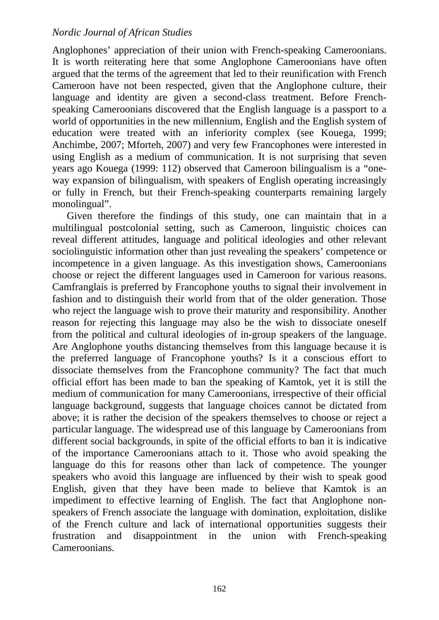Anglophones' appreciation of their union with French-speaking Cameroonians. It is worth reiterating here that some Anglophone Cameroonians have often argued that the terms of the agreement that led to their reunification with French Cameroon have not been respected, given that the Anglophone culture, their language and identity are given a second-class treatment. Before Frenchspeaking Cameroonians discovered that the English language is a passport to a world of opportunities in the new millennium, English and the English system of education were treated with an inferiority complex (see Kouega, 1999; Anchimbe, 2007; Mforteh, 2007) and very few Francophones were interested in using English as a medium of communication. It is not surprising that seven years ago Kouega (1999: 112) observed that Cameroon bilingualism is a "oneway expansion of bilingualism, with speakers of English operating increasingly or fully in French, but their French-speaking counterparts remaining largely monolingual".

Given therefore the findings of this study, one can maintain that in a multilingual postcolonial setting, such as Cameroon, linguistic choices can reveal different attitudes, language and political ideologies and other relevant sociolinguistic information other than just revealing the speakers' competence or incompetence in a given language. As this investigation shows, Cameroonians choose or reject the different languages used in Cameroon for various reasons. Camfranglais is preferred by Francophone youths to signal their involvement in fashion and to distinguish their world from that of the older generation. Those who reject the language wish to prove their maturity and responsibility. Another reason for rejecting this language may also be the wish to dissociate oneself from the political and cultural ideologies of in-group speakers of the language. Are Anglophone youths distancing themselves from this language because it is the preferred language of Francophone youths? Is it a conscious effort to dissociate themselves from the Francophone community? The fact that much official effort has been made to ban the speaking of Kamtok, yet it is still the medium of communication for many Cameroonians, irrespective of their official language background, suggests that language choices cannot be dictated from above; it is rather the decision of the speakers themselves to choose or reject a particular language. The widespread use of this language by Cameroonians from different social backgrounds, in spite of the official efforts to ban it is indicative of the importance Cameroonians attach to it. Those who avoid speaking the language do this for reasons other than lack of competence. The younger speakers who avoid this language are influenced by their wish to speak good English, given that they have been made to believe that Kamtok is an impediment to effective learning of English. The fact that Anglophone nonspeakers of French associate the language with domination, exploitation, dislike of the French culture and lack of international opportunities suggests their frustration and disappointment in the union with French-speaking Cameroonians.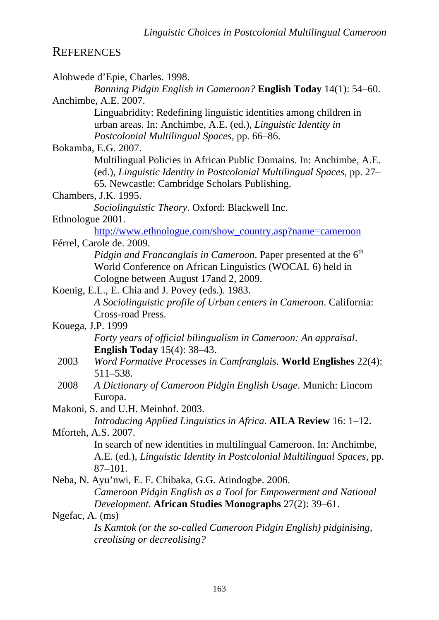# **REFERENCES**

|                 | Alobwede d'Epie, Charles. 1998.                                                                                                                                                                 |
|-----------------|-------------------------------------------------------------------------------------------------------------------------------------------------------------------------------------------------|
|                 | Banning Pidgin English in Cameroon? English Today 14(1): 54–60.                                                                                                                                 |
|                 | Anchimbe, A.E. 2007.                                                                                                                                                                            |
|                 | Linguabridity: Redefining linguistic identities among children in<br>urban areas. In: Anchimbe, A.E. (ed.), <i>Linguistic Identity in</i><br>Postcolonial Multilingual Spaces, pp. 66-86.       |
|                 | Bokamba, E.G. 2007.                                                                                                                                                                             |
|                 | Multilingual Policies in African Public Domains. In: Anchimbe, A.E.<br>(ed.), Linguistic Identity in Postcolonial Multilingual Spaces, pp. 27–<br>65. Newcastle: Cambridge Scholars Publishing. |
|                 | Chambers, J.K. 1995.                                                                                                                                                                            |
|                 | Sociolinguistic Theory. Oxford: Blackwell Inc.                                                                                                                                                  |
|                 | Ethnologue 2001.                                                                                                                                                                                |
|                 | http://www.ethnologue.com/show_country.asp?name=cameroon                                                                                                                                        |
|                 | Férrel, Carole de. 2009.                                                                                                                                                                        |
|                 | Pidgin and Francanglais in Cameroon. Paper presented at the 6 <sup>th</sup><br>World Conference on African Linguistics (WOCAL 6) held in<br>Cologne between August 17 and 2, 2009.              |
|                 | Koenig, E.L., E. Chia and J. Povey (eds.). 1983.                                                                                                                                                |
|                 | A Sociolinguistic profile of Urban centers in Cameroon. California:                                                                                                                             |
|                 | Cross-road Press.                                                                                                                                                                               |
|                 | Kouega, J.P. 1999                                                                                                                                                                               |
|                 | Forty years of official bilingualism in Cameroon: An appraisal.<br><b>English Today</b> $15(4)$ : 38–43.                                                                                        |
| 2003            | <i>Word Formative Processes in Camfranglais.</i> <b>World Englishes</b> 22(4):<br>511-538.                                                                                                      |
| 2008            | A Dictionary of Cameroon Pidgin English Usage. Munich: Lincom<br>Europa.                                                                                                                        |
|                 | Makoni, S. and U.H. Meinhof. 2003.                                                                                                                                                              |
|                 | Introducing Applied Linguistics in Africa. AILA Review 16: 1–12.                                                                                                                                |
|                 | Mforteh, A.S. 2007.                                                                                                                                                                             |
|                 | In search of new identities in multilingual Cameroon. In: Anchimbe,<br>A.E. (ed.), Linguistic Identity in Postcolonial Multilingual Spaces, pp.<br>$87 - 101.$                                  |
|                 | Neba, N. Ayu'nwi, E. F. Chibaka, G.G. Atindogbe. 2006.                                                                                                                                          |
|                 | Cameroon Pidgin English as a Tool for Empowerment and National<br>Development. African Studies Monographs 27(2): 39–61.                                                                         |
| Ngefac, A. (ms) |                                                                                                                                                                                                 |
|                 | Is Kamtok (or the so-called Cameroon Pidgin English) pidginising,<br><i>creolising or decreolising?</i>                                                                                         |
|                 |                                                                                                                                                                                                 |